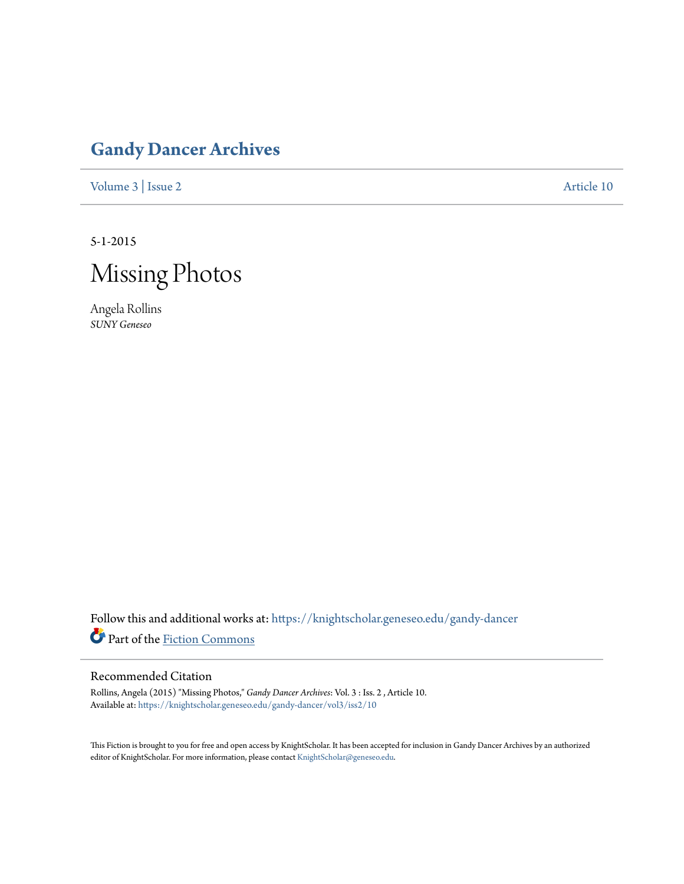## **[Gandy Dancer Archives](https://knightscholar.geneseo.edu/gandy-dancer?utm_source=knightscholar.geneseo.edu%2Fgandy-dancer%2Fvol3%2Fiss2%2F10&utm_medium=PDF&utm_campaign=PDFCoverPages)**

[Volume 3](https://knightscholar.geneseo.edu/gandy-dancer/vol3?utm_source=knightscholar.geneseo.edu%2Fgandy-dancer%2Fvol3%2Fiss2%2F10&utm_medium=PDF&utm_campaign=PDFCoverPages) | [Issue 2](https://knightscholar.geneseo.edu/gandy-dancer/vol3/iss2?utm_source=knightscholar.geneseo.edu%2Fgandy-dancer%2Fvol3%2Fiss2%2F10&utm_medium=PDF&utm_campaign=PDFCoverPages) [Article 10](https://knightscholar.geneseo.edu/gandy-dancer/vol3/iss2/10?utm_source=knightscholar.geneseo.edu%2Fgandy-dancer%2Fvol3%2Fiss2%2F10&utm_medium=PDF&utm_campaign=PDFCoverPages)

5-1-2015



Angela Rollins *SUNY Geneseo*

Follow this and additional works at: [https://knightscholar.geneseo.edu/gandy-dancer](https://knightscholar.geneseo.edu/gandy-dancer?utm_source=knightscholar.geneseo.edu%2Fgandy-dancer%2Fvol3%2Fiss2%2F10&utm_medium=PDF&utm_campaign=PDFCoverPages) Part of the [Fiction Commons](http://network.bepress.com/hgg/discipline/1151?utm_source=knightscholar.geneseo.edu%2Fgandy-dancer%2Fvol3%2Fiss2%2F10&utm_medium=PDF&utm_campaign=PDFCoverPages)

## Recommended Citation

Rollins, Angela (2015) "Missing Photos," *Gandy Dancer Archives*: Vol. 3 : Iss. 2 , Article 10. Available at: [https://knightscholar.geneseo.edu/gandy-dancer/vol3/iss2/10](https://knightscholar.geneseo.edu/gandy-dancer/vol3/iss2/10?utm_source=knightscholar.geneseo.edu%2Fgandy-dancer%2Fvol3%2Fiss2%2F10&utm_medium=PDF&utm_campaign=PDFCoverPages)

This Fiction is brought to you for free and open access by KnightScholar. It has been accepted for inclusion in Gandy Dancer Archives by an authorized editor of KnightScholar. For more information, please contact [KnightScholar@geneseo.edu.](mailto:KnightScholar@geneseo.edu)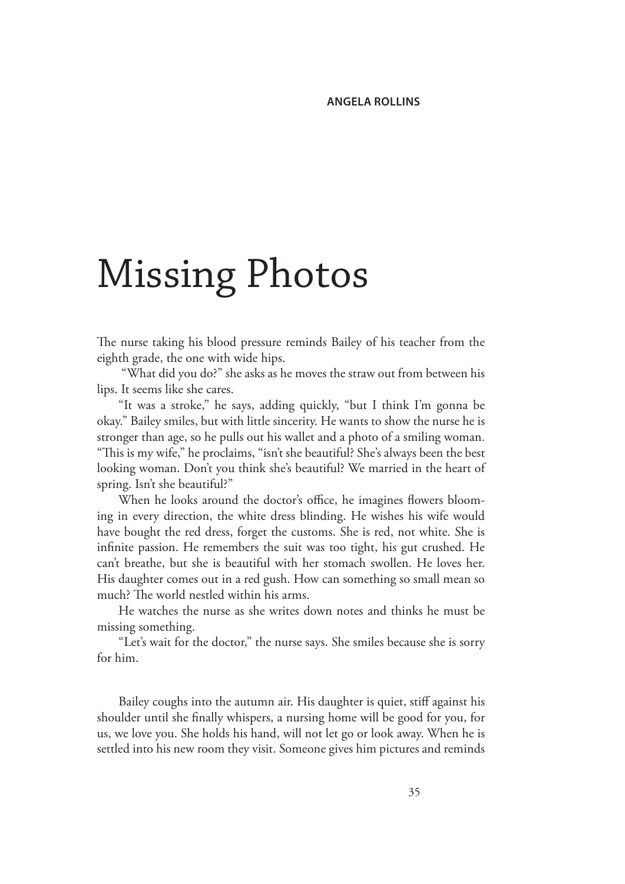## Missing Photos

The nurse taking his blood pressure reminds Bailey of his teacher from the eighth grade, the one with wide hips.

 "What did you do?" she asks as he moves the straw out from between his lips. It seems like she cares.

"It was a stroke," he says, adding quickly, "but I think I'm gonna be okay." Bailey smiles, but with little sincerity. He wants to show the nurse he is stronger than age, so he pulls out his wallet and a photo of a smiling woman. "This is my wife," he proclaims, "isn't she beautiful? She's always been the best looking woman. Don't you think she's beautiful? We married in the heart of spring. Isn't she beautiful?"

When he looks around the doctor's office, he imagines flowers blooming in every direction, the white dress blinding. He wishes his wife would have bought the red dress, forget the customs. She is red, not white. She is infinite passion. He remembers the suit was too tight, his gut crushed. He can't breathe, but she is beautiful with her stomach swollen. He loves her. His daughter comes out in a red gush. How can something so small mean so much? The world nestled within his arms.

He watches the nurse as she writes down notes and thinks he must be missing something.

"Let's wait for the doctor," the nurse says. She smiles because she is sorry for him.

Bailey coughs into the autumn air. His daughter is quiet, stiff against his shoulder until she finally whispers, a nursing home will be good for you, for us, we love you. She holds his hand, will not let go or look away. When he is settled into his new room they visit. Someone gives him pictures and reminds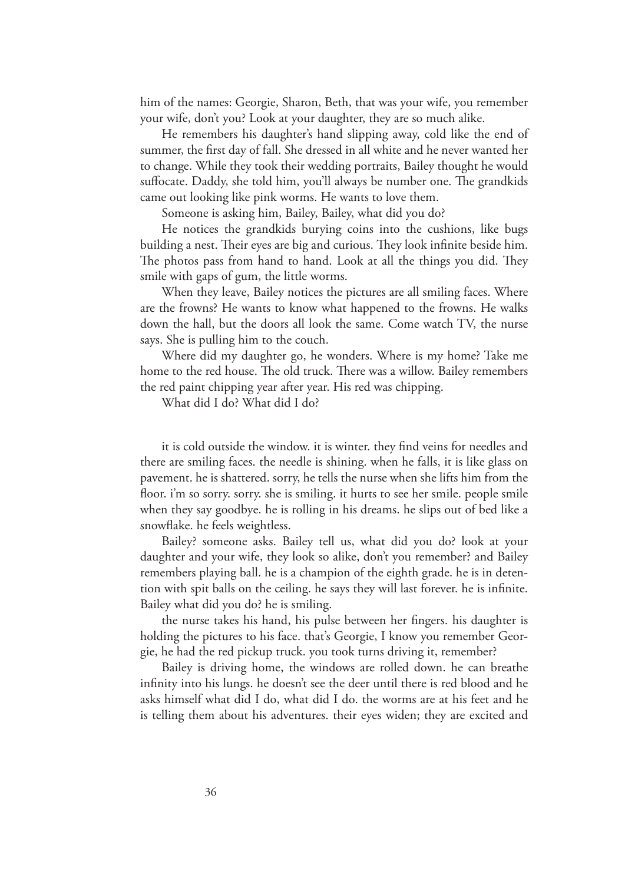him of the names: Georgie, Sharon, Beth, that was your wife, you remember your wife, don't you? Look at your daughter, they are so much alike.

He remembers his daughter's hand slipping away, cold like the end of summer, the first day of fall. She dressed in all white and he never wanted her to change. While they took their wedding portraits, Bailey thought he would suffocate. Daddy, she told him, you'll always be number one. The grandkids came out looking like pink worms. He wants to love them.

Someone is asking him, Bailey, Bailey, what did you do?

He notices the grandkids burying coins into the cushions, like bugs building a nest. Their eyes are big and curious. They look infinite beside him. The photos pass from hand to hand. Look at all the things you did. They smile with gaps of gum, the little worms.

When they leave, Bailey notices the pictures are all smiling faces. Where are the frowns? He wants to know what happened to the frowns. He walks down the hall, but the doors all look the same. Come watch TV, the nurse says. She is pulling him to the couch.

Where did my daughter go, he wonders. Where is my home? Take me home to the red house. The old truck. There was a willow. Bailey remembers the red paint chipping year after year. His red was chipping.

What did I do? What did I do?

it is cold outside the window. it is winter. they find veins for needles and there are smiling faces. the needle is shining. when he falls, it is like glass on pavement. he is shattered. sorry, he tells the nurse when she lifts him from the floor. i'm so sorry. sorry. she is smiling. it hurts to see her smile. people smile when they say goodbye. he is rolling in his dreams. he slips out of bed like a snowflake. he feels weightless.

Bailey? someone asks. Bailey tell us, what did you do? look at your daughter and your wife, they look so alike, don't you remember? and Bailey remembers playing ball. he is a champion of the eighth grade. he is in detention with spit balls on the ceiling. he says they will last forever. he is infinite. Bailey what did you do? he is smiling.

the nurse takes his hand, his pulse between her fingers. his daughter is holding the pictures to his face. that's Georgie, I know you remember Georgie, he had the red pickup truck. you took turns driving it, remember?

Bailey is driving home, the windows are rolled down. he can breathe infinity into his lungs. he doesn't see the deer until there is red blood and he asks himself what did I do, what did I do. the worms are at his feet and he is telling them about his adventures. their eyes widen; they are excited and